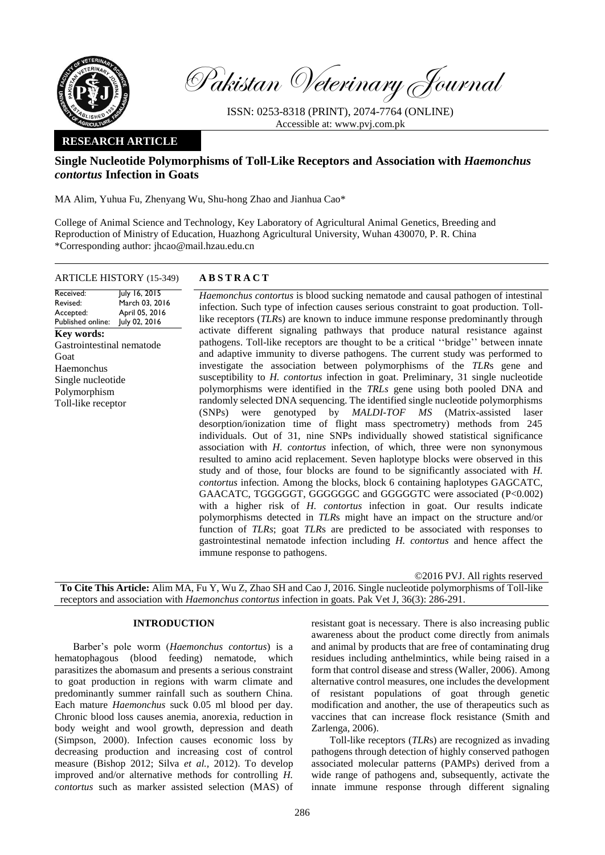

Pakistan Veterinary Journal

ISSN: 0253-8318 (PRINT), 2074-7764 (ONLINE) Accessible at: [www.pvj.com.pk](http://www.pvj.com.pk/)

## **RESEARCH ARTICLE**

## **Single Nucleotide Polymorphisms of Toll-Like Receptors and Association with** *Haemonchus contortus* **Infection in Goats**

MA Alim, Yuhua Fu, Zhenyang Wu, Shu-hong Zhao and Jianhua Cao\*

College of Animal Science and Technology, Key Laboratory of Agricultural Animal Genetics, Breeding and Reproduction of Ministry of Education, Huazhong Agricultural University, Wuhan 430070, P. R. China \*Corresponding author: jhcao@mail.hzau.edu.cn

# ARTICLE HISTORY (15-349) **A B S T R A C T** July 16, 2015

Revised: Accepted: Published online: March 03, 2016 April 05, 2016 July 02, 2016 **Key words:**  Gastrointestinal nematode Goat Haemonchus Single nucleotide Polymorphism Toll-like receptor

Received:

*Haemonchus contortus* is blood sucking nematode and causal pathogen of intestinal infection. Such type of infection causes serious constraint to goat production. Tolllike receptors (*TLR*s) are known to induce immune response predominantly through activate different signaling pathways that produce natural resistance against pathogens. Toll-like receptors are thought to be a critical ''bridge'' between innate and adaptive immunity to diverse pathogens. The current study was performed to investigate the association between polymorphisms of the *TLR*s gene and susceptibility to *H. contortus* infection in goat. Preliminary, 31 single nucleotide polymorphisms were identified in the *TRLs* gene using both pooled DNA and randomly selected DNA sequencing. The identified single nucleotide polymorphisms (SNPs) were genotyped by *MALDI-TOF MS* (Matrix-assisted laser desorption/ionization time of flight mass spectrometry) methods from 245 individuals. Out of 31, nine SNPs individually showed statistical significance association with *H. contortus* infection, of which, three were non synonymous resulted to amino acid replacement. Seven haplotype blocks were observed in this study and of those, four blocks are found to be significantly associated with *H. contortus* infection. Among the blocks, block 6 containing haplotypes GAGCATC, GAACATC, TGGGGGT, GGGGGGC and GGGGGTC were associated (P<0.002) with a higher risk of *H. contortus* infection in goat. Our results indicate polymorphisms detected in *TLR*s might have an impact on the structure and/or function of *TLRs*; goat *TLR*s are predicted to be associated with responses to gastrointestinal nematode infection including *H. contortus* and hence affect the immune response to pathogens.

©2016 PVJ. All rights reserved **To Cite This Article:** Alim MA, Fu Y, Wu Z, Zhao SH and Cao J, 2016. Single nucleotide polymorphisms of Toll-like receptors and association with *Haemonchus contortus* infection in goats. Pak Vet J, 36(3): 286-291.

### **INTRODUCTION**

Barber's pole worm (*Haemonchus contortus*) is a hematophagous (blood feeding) nematode, which parasitizes the abomasum and presents a serious constraint to goat production in regions with warm climate and predominantly summer rainfall such as southern China. Each mature *Haemonchus* suck 0.05 ml blood per day. Chronic blood loss causes anemia, anorexia, reduction in body weight and wool growth, depression and death (Simpson, 2000). Infection causes economic loss by decreasing production and increasing cost of control measure (Bishop 2012; Silva *et al.,* 2012). To develop improved and/or alternative methods for controlling *H. contortus* such as marker assisted selection (MAS) of

resistant goat is necessary. There is also increasing public awareness about the product come directly from animals and animal by products that are free of contaminating drug residues including anthelmintics, while being raised in a form that control disease and stress (Waller, 2006). Among alternative control measures, one includes the development of resistant populations of goat through genetic modification and another, the use of therapeutics such as vaccines that can increase flock resistance (Smith and Zarlenga, 2006).

Toll-like receptors (*TLR*s) are recognized as invading pathogens through detection of highly conserved pathogen associated molecular patterns (PAMPs) derived from a wide range of pathogens and, subsequently, activate the innate immune response through different signaling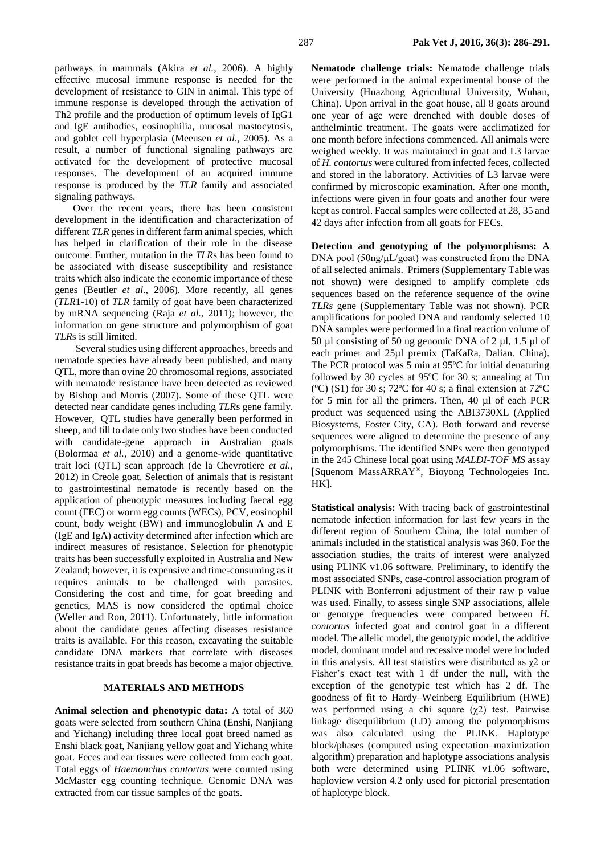pathways in mammals (Akira *et al.,* 2006). A highly effective mucosal immune response is needed for the development of resistance to GIN in animal. This type of immune response is developed through the activation of Th2 profile and the production of optimum levels of IgG1 and IgE antibodies, eosinophilia, mucosal mastocytosis, and goblet cell hyperplasia (Meeusen *et al.,* 2005). As a result, a number of functional signaling pathways are activated for the development of protective mucosal responses. The development of an acquired immune response is produced by the *TLR* family and associated signaling pathways.

Over the recent years, there has been consistent development in the identification and characterization of different *TLR* genes in different farm animal species, which has helped in clarification of their role in the disease outcome. Further, mutation in the *TLR*s has been found to be associated with disease susceptibility and resistance traits which also indicate the economic importance of these genes (Beutler *et al.,* 2006). More recently, all genes (*TLR*1-10) of *TLR* family of goat have been characterized by mRNA sequencing (Raja *et al.,* 2011); however, the information on gene structure and polymorphism of goat *TLR*s is still limited.

Several studies using different approaches, breeds and nematode species have already been published, and many QTL, more than ovine 20 chromosomal regions, associated with nematode resistance have been detected as reviewed by Bishop and Morris (2007). Some of these QTL were detected near candidate genes including *TLR*s gene family. However, QTL studies have generally been performed in sheep, and till to date only two studies have been conducted with candidate-gene approach in Australian goats (Bolormaa *et al.,* 2010) and a genome-wide quantitative trait loci (QTL) scan approach (de la Chevrotiere *et al.,* 2012) in Creole goat. Selection of animals that is resistant to gastrointestinal nematode is recently based on the application of phenotypic measures including faecal egg count (FEC) or worm egg counts (WECs), PCV, eosinophil count, body weight (BW) and immunoglobulin A and E (IgE and IgA) activity determined after infection which are indirect measures of resistance. Selection for phenotypic traits has been successfully exploited in Australia and New Zealand; however, it is expensive and time-consuming as it requires animals to be challenged with parasites. Considering the cost and time, for goat breeding and genetics, MAS is now considered the optimal choice (Weller and Ron, 2011). Unfortunately, little information about the candidate genes affecting diseases resistance traits is available. For this reason, excavating the suitable candidate DNA markers that correlate with diseases resistance traits in goat breeds has become a major objective.

## **MATERIALS AND METHODS**

**Animal selection and phenotypic data:** A total of 360 goats were selected from southern China (Enshi, Nanjiang and Yichang) including three local goat breed named as Enshi black goat, Nanjiang yellow goat and Yichang white goat. Feces and ear tissues were collected from each goat. Total eggs of *Haemonchus contortus* were counted using McMaster egg counting technique. Genomic DNA was extracted from ear tissue samples of the goats.

**Nematode challenge trials:** Nematode challenge trials were performed in the animal experimental house of the University (Huazhong Agricultural University, Wuhan, China). Upon arrival in the goat house, all 8 goats around one year of age were drenched with double doses of anthelmintic treatment. The goats were acclimatized for one month before infections commenced. All animals were weighed weekly. It was maintained in goat and L3 larvae of *H. contortus* were cultured from infected feces, collected and stored in the laboratory. Activities of L3 larvae were confirmed by microscopic examination. After one month, infections were given in four goats and another four were kept as control. Faecal samples were collected at 28, 35 and 42 days after infection from all goats for FECs.

**Detection and genotyping of the polymorphisms:** A DNA pool (50ng/μL/goat) was constructed from the DNA of all selected animals. Primers (Supplementary Table was not shown) were designed to amplify complete cds sequences based on the reference sequence of the ovine *TLRs* gene (Supplementary Table was not shown). PCR amplifications for pooled DNA and randomly selected 10 DNA samples were performed in a final reaction volume of 50 µl consisting of 50 ng genomic DNA of 2 µl, 1.5 µl of each primer and 25µl premix (TaKaRa, Dalian. China). The PCR protocol was 5 min at 95ºC for initial denaturing followed by 30 cycles at 95ºC for 30 s; annealing at Tm ( $^{\circ}$ C) (S1) for 30 s; 72 $^{\circ}$ C for 40 s; a final extension at 72 $^{\circ}$ C for 5 min for all the primers. Then, 40 µl of each PCR product was sequenced using the ABI3730XL (Applied Biosystems, Foster City, CA). Both forward and reverse sequences were aligned to determine the presence of any polymorphisms. The identified SNPs were then genotyped in the 245 Chinese local goat using *MALDI-TOF MS* assay [Squenom MassARRAY®, Bioyong Technologeies Inc. HK].

**Statistical analysis:** With tracing back of gastrointestinal nematode infection information for last few years in the different region of Southern China, the total number of animals included in the statistical analysis was 360. For the association studies, the traits of interest were analyzed using PLINK v1.06 software. Preliminary, to identify the most associated SNPs, case-control association program of PLINK with Bonferroni adjustment of their raw p value was used. Finally, to assess single SNP associations, allele or genotype frequencies were compared between *H. contortus* infected goat and control goat in a different model. The allelic model, the genotypic model, the additive model, dominant model and recessive model were included in this analysis. All test statistics were distributed as  $\chi$ 2 or Fisher's exact test with 1 df under the null, with the exception of the genotypic test which has 2 df. The goodness of fit to Hardy–Weinberg Equilibrium (HWE) was performed using a chi square  $(\chi^2)$  test. Pairwise linkage disequilibrium (LD) among the polymorphisms was also calculated using the PLINK. Haplotype block/phases (computed using expectation–maximization algorithm) preparation and haplotype associations analysis both were determined using PLINK v1.06 software, haploview version 4.2 only used for pictorial presentation of haplotype block.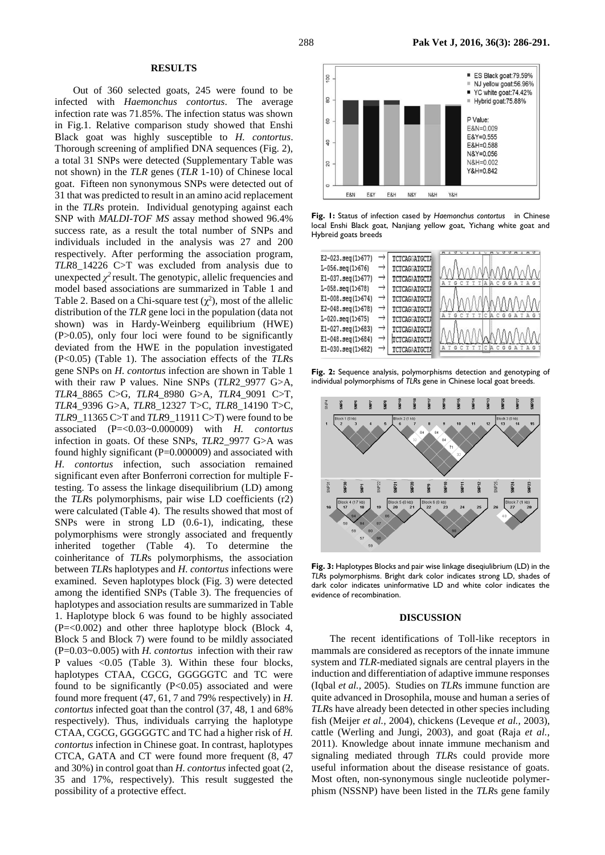#### **RESULTS**

Out of 360 selected goats, 245 were found to be infected with *Haemonchus contortus*. The average infection rate was 71.85%. The infection status was shown in Fig.1. Relative comparison study showed that Enshi Black goat was highly susceptible to *H. contortus*. Thorough screening of amplified DNA sequences (Fig. 2), a total 31 SNPs were detected (Supplementary Table was not shown) in the *TLR* genes (*TLR* 1-10) of Chinese local goat. Fifteen non synonymous SNPs were detected out of 31 that was predicted to result in an amino acid replacement in the *TLR*s protein. Individual genotyping against each SNP with *MALDI-TOF MS* assay method showed 96.4% success rate, as a result the total number of SNPs and individuals included in the analysis was 27 and 200 respectively. After performing the association program, *TLR*8\_14226 C>T was excluded from analysis due to unexpected  $\chi^2$  result. The genotypic, allelic frequencies and model based associations are summarized in Table 1 and Table 2. Based on a Chi-square test  $(\chi^2)$ , most of the allelic distribution of the *TLR* gene loci in the population (data not shown) was in Hardy-Weinberg equilibrium (HWE) (P>0.05), only four loci were found to be significantly deviated from the HWE in the population investigated (P<0.05) (Table 1). The association effects of the *TLR*s gene SNPs on *H. contortus* infection are shown in Table 1 with their raw P values. Nine SNPs (*TLR*2\_9977 G>A, *TLR*4\_8865 C>G, *TLR*4\_8980 G>A, *TLR*4\_9091 C>T, *TLR*4\_9396 G>A, *TLR*8\_12327 T>C, *TLR*8\_14190 T>C, *TLR*9\_11365 C>T and *TLR*9\_11911 C>T) were found to be associated (P=<0.03~0.000009) with *H. contortus* infection in goats. Of these SNPs, *TLR*2\_9977 G>A was found highly significant (P=0.000009) and associated with *H. contortus* infection, such association remained significant even after Bonferroni correction for multiple Ftesting. To assess the linkage disequilibrium (LD) among the *TLR*s polymorphisms, pair wise LD coefficients (r2) were calculated (Table 4). The results showed that most of SNPs were in strong LD (0.6-1), indicating, these polymorphisms were strongly associated and frequently inherited together (Table 4). To determine the coinheritance of *TLR*s polymorphisms, the association between *TLR*s haplotypes and *H. contortus* infections were examined. Seven haplotypes block (Fig. 3) were detected among the identified SNPs (Table 3). The frequencies of haplotypes and association results are summarized in Table 1. Haplotype block 6 was found to be highly associated (P=<0.002) and other three haplotype block (Block 4, Block 5 and Block 7) were found to be mildly associated (P=0.03~0.005) with *H. contortus* infection with their raw P values <0.05 (Table 3). Within these four blocks, haplotypes CTAA, CGCG, GGGGGTC and TC were found to be significantly  $(P<0.05)$  associated and were found more frequent (47, 61, 7 and 79% respectively) in *H. contortus* infected goat than the control (37, 48, 1 and 68% respectively). Thus, individuals carrying the haplotype CTAA, CGCG, GGGGGTC and TC had a higher risk of *H. contortus* infection in Chinese goat. In contrast, haplotypes CTCA, GATA and CT were found more frequent (8, 47 and 30%) in control goat than *H. contortus* infected goat (2, 35 and 17%, respectively). This result suggested the possibility of a protective effect.



**Fig. 1:** Status of infection cased by *Haemonchus contortus* in Chinese local Enshi Black goat, Nanjiang yellow goat, Yichang white goat and Hybreid goats breeds

| E2-023.seg(1>677)          | TCTCAGGATGCTI |                                               |
|----------------------------|---------------|-----------------------------------------------|
|                            |               |                                               |
| $L-056.$ seq $(1>676)$     | TCTCAGGATGCTI |                                               |
| $E1 - 037$ . seq $(1>677)$ | TCTCAGAATGCTA | <b>TTTA</b><br>G<br>G<br>G<br>A<br>A          |
| $L-058.$ seg $(1>678)$     | TCTCAGAATGCTZ |                                               |
| E1-008.seg(1>674)          | TCTCAGAATGCTZ |                                               |
| E2-048.seg(1>678)          | TCTCAGGATGCTZ |                                               |
| L-020.seg(1>675)           | TCTCAGGATGCT7 | ATGCTTT<br>CACGGATAG                          |
| E1-027.seg(1>683)          | TCTCAGAATGCTZ |                                               |
| E1-048.seg(1>684)          | TCTCAGAATGCTA |                                               |
| E1-030.seg(1>682)          | TCTCAGAATGCTA | CITI<br>C A C<br>G<br>G<br>G<br>А<br>G<br>T A |

**Fig. 2:** Sequence analysis, polymorphisms detection and genotyping of individual polymorphisms of *TLR*s gene in Chinese local goat breeds.



**Fig. 3:** Haplotypes Blocks and pair wise linkage diseqiulibrium (LD) in the *TLR*s polymorphisms. Bright dark color indicates strong LD, shades of dark color indicates uninformative LD and white color indicates the evidence of recombination.

#### **DISCUSSION**

The recent identifications of Toll-like receptors in mammals are considered as receptors of the innate immune system and *TLR*-mediated signals are central players in the induction and differentiation of adaptive immune responses (Iqbal *et al.,* 2005). Studies on *TLR*s immune function are quite advanced in Drosophila, mouse and human a series of *TLR*s have already been detected in other species including fish (Meijer *et al.,* 2004), chickens (Leveque *et al.,* 2003), cattle (Werling and Jungi, 2003), and goat (Raja *et al.,* 2011). Knowledge about innate immune mechanism and signaling mediated through *TLR*s could provide more useful information about the disease resistance of goats. Most often, non-synonymous single nucleotide polymerphism (NSSNP) have been listed in the *TLR*s gene family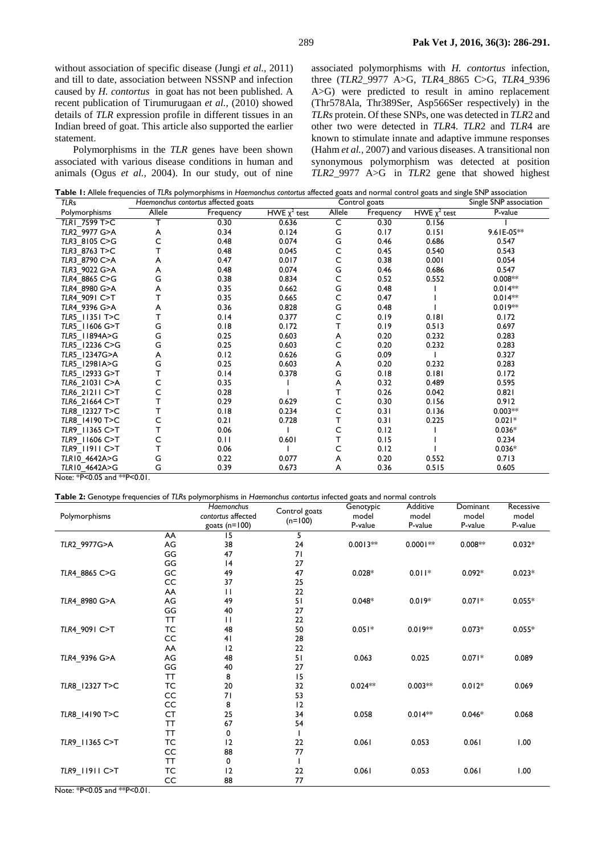without association of specific disease (Jungi *et al.,* 2011) and till to date, association between NSSNP and infection caused by *H. contortus* in goat has not been published. A recent publication of Tirumurugaan *et al.,* (2010) showed details of *TLR* expression profile in different tissues in an Indian breed of goat. This article also supported the earlier statement.

Polymorphisms in the *TLR* genes have been shown associated with various disease conditions in human and animals (Ogus *et al.,* 2004). In our study, out of nine associated polymorphisms with *H. contortus* infection, three (*TLR2*\_9977 A>G, *TLR*4\_8865 C>G, *TLR*4\_9396 A>G) were predicted to result in amino replacement (Thr578Ala, Thr389Ser, Asp566Ser respectively) in the *TLRs* protein. Of these SNPs, one was detected in *TLR*2 and other two were detected in *TLR*4. *TLR*2 and *TLR*4 are known to stimulate innate and adaptive immune responses (Hahm *et al.,* 2007) and various diseases. A transitional non synonymous polymorphism was detected at position *TLR2*\_9977 A>G in *TLR*2 gene that showed highest

**Table 1:** Allele frequencies of *TLR*s polymorphisms in *Haemonchus contortus* affected goats and normal control goats and single SNP association

| <b>TLRs</b>               |        | Haemonchus contortus affected goats |                   |        | Control goats |                   | Single SNP association |
|---------------------------|--------|-------------------------------------|-------------------|--------|---------------|-------------------|------------------------|
| Polymorphisms             | Allele | Frequency                           | HWE $\chi^2$ test | Allele | Frequency     | HWE $\chi^2$ test | P-value                |
| TLR1 7599 T>C             |        | 0.30                                | 0.636             | C      | 0.30          | 0.156             |                        |
| TLR2 9977 G>A             | A      | 0.34                                | 0.124             | G      | 0.17          | 0.151             | 9.61E-05**             |
| TLR3_8105 C>G             | С      | 0.48                                | 0.074             | G      | 0.46          | 0.686             | 0.547                  |
| TLR3 8763 T>C             |        | 0.48                                | 0.045             | С      | 0.45          | 0.540             | 0.543                  |
| TLR3 8790 C>A             |        | 0.47                                | 0.017             | C      | 0.38          | 0.001             | 0.054                  |
| TLR3 9022 G>A             | A      | 0.48                                | 0.074             | G      | 0.46          | 0.686             | 0.547                  |
| TLR4 8865 C>G             | G      | 0.38                                | 0.834             | C      | 0.52          | 0.552             | $0.008**$              |
| TLR4 8980 G>A             | A      | 0.35                                | 0.662             | G      | 0.48          |                   | $0.014**$              |
| TLR4 9091 C>T             |        | 0.35                                | 0.665             | С      | 0.47          |                   | $0.014**$              |
| TLR4 9396 G>A             | A      | 0.36                                | 0.828             | G      | 0.48          |                   | $0.019**$              |
| TLR5 11351 T>C            |        | 0.14                                | 0.377             | С      | 0.19          | 0.181             | 0.172                  |
| TLR5 11606 G>T            | G      | 0.18                                | 0.172             | т      | 0.19          | 0.513             | 0.697                  |
| TLR5 11894A>G             | G      | 0.25                                | 0.603             | A      | 0.20          | 0.232             | 0.283                  |
| TLR5 12236 C>G            | G      | 0.25                                | 0.603             | C      | 0.20          | 0.232             | 0.283                  |
| TLR5 12347G>A             | A      | 0.12                                | 0.626             | G      | 0.09          |                   | 0.327                  |
| TLR5 12981A>G             | G      | 0.25                                | 0.603             | A      | 0.20          | 0.232             | 0.283                  |
| TLR5 12933 G>T            |        | 0.14                                | 0.378             | G      | 0.18          | 0.181             | 0.172                  |
| TLR6 21031 C>A            |        | 0.35                                |                   | A      | 0.32          | 0.489             | 0.595                  |
| TLR6 21211 C>T            | Ċ      | 0.28                                |                   | т      | 0.26          | 0.042             | 0.821                  |
| TLR6 21664 C>T            |        | 0.29                                | 0.629             | с      | 0.30          | 0.156             | 0.912                  |
| TLR8_12327 T>C            |        | 0.18                                | 0.234             | С      | 0.31          | 0.136             | $0.003**$              |
| TLR8 14190 T>C            |        | 0.21                                | 0.728             | т      | 0.31          | 0.225             | $0.021*$               |
| TLR9 11365 C>T            |        | 0.06                                |                   | С      | 0.12          |                   | $0.036*$               |
| TLR9 11606 C>T            |        | 0.11                                | 0.601             | T      | 0.15          |                   | 0.234                  |
| TLR9 11911 C>T            |        | 0.06                                |                   | C      | 0.12          |                   | $0.036*$               |
| TLR10_4642A>G             | G      | 0.22                                | 0.077             | A      | 0.20          | 0.552             | 0.713                  |
| TLR10 4642A>G             | G      | 0.39                                | 0.673             | A      | 0.36          | 0.515             | 0.605                  |
| $N = 1$ , $N = 1$ $N = 1$ |        |                                     |                   |        |               |                   |                        |

Note: \*P<0.05 and \*\*P<0.01.

**Table 2:** Genotype frequencies of *TLR*s polymorphisms in *Haemonchus contortus* infected goats and normal controls

| Polymorphisms  |           | Haemonchus<br>contortus affected<br>goats $(n=100)$ | Control goats<br>$(n=100)$ | Genotypic<br>model<br>P-value | Additive<br>model<br>P-value | Dominant<br>model<br>P-value | Recessive<br>model<br>P-value |
|----------------|-----------|-----------------------------------------------------|----------------------------|-------------------------------|------------------------------|------------------------------|-------------------------------|
|                | AA        | 15                                                  | 5                          |                               |                              |                              |                               |
| TLR2 9977G>A   | AG        | 38                                                  | 24                         | $0.0013**$                    | $0.0001**$                   | $0.008**$                    | $0.032*$                      |
|                | GG        | 47                                                  | 71                         |                               |                              |                              |                               |
|                | GG        | 4                                                   | 27                         |                               |                              |                              |                               |
| TLR4 8865 C>G  | GC        | 49                                                  | 47                         | $0.028*$                      | $0.011*$                     | $0.092*$                     | $0.023*$                      |
|                | CC        | 37                                                  | 25                         |                               |                              |                              |                               |
|                | AA        | $\mathbf{H}$                                        | 22                         |                               |                              |                              |                               |
| TLR4 8980 G>A  | AG        | 49                                                  | 51                         | $0.048*$                      | $0.019*$                     | $0.071*$                     | $0.055*$                      |
|                | GG        | 40                                                  | 27                         |                               |                              |                              |                               |
|                | TT        | $\mathbf{H}$                                        | 22                         |                               |                              |                              |                               |
| TLR4 9091 C>T  | TC        | 48                                                  | 50                         | $0.051*$                      | $0.019**$                    | $0.073*$                     | $0.055*$                      |
|                | CC        | 41                                                  | 28                         |                               |                              |                              |                               |
|                | AA        | 12                                                  | 22                         |                               |                              |                              |                               |
| TLR4 9396 G>A  | AG        | 48                                                  | 51                         | 0.063                         | 0.025                        | $0.071*$                     | 0.089                         |
|                | GG        | 40                                                  | 27                         |                               |                              |                              |                               |
|                | <b>TT</b> | 8                                                   | 15                         |                               |                              |                              |                               |
| TLR8_12327 T>C | TC        | 20                                                  | 32                         | $0.024**$                     | $0.003**$                    | $0.012*$                     | 0.069                         |
|                | CC        | 71                                                  | 53                         |                               |                              |                              |                               |
|                | CC        | 8                                                   | 12                         |                               |                              |                              |                               |
| TLR8 14190 T>C | CT        | 25                                                  | 34                         | 0.058                         | $0.014**$                    | $0.046*$                     | 0.068                         |
|                | ТT        | 67                                                  | 54                         |                               |                              |                              |                               |
|                | <b>TT</b> | 0                                                   |                            |                               |                              |                              |                               |
| TLR9 11365 C>T | ТC        | 12                                                  | 22                         | 0.061                         | 0.053                        | 0.061                        | 1.00                          |
|                | CC        | 88                                                  | 77                         |                               |                              |                              |                               |
|                | ТT        | 0                                                   |                            |                               |                              |                              |                               |
| TLR9_11911 C>T | ТC        | 12                                                  | 22                         | 0.061                         | 0.053                        | 0.061                        | 1.00                          |
|                | CC        | 88                                                  | 77                         |                               |                              |                              |                               |

Note: \*P<0.05 and \*\*P<0.01.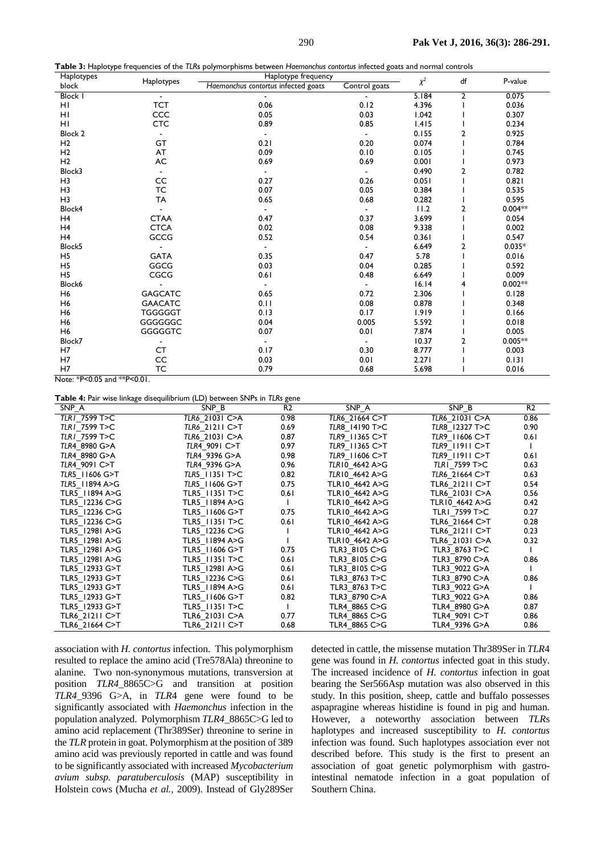| Haplotypes     |                | Haplotype frequency                 |               | df       |                         |           |
|----------------|----------------|-------------------------------------|---------------|----------|-------------------------|-----------|
| block          | Haplotypes     | Haemonchus contortus infected goats | Control goats | $\chi^2$ |                         | P-value   |
| <b>Block I</b> |                |                                     |               | 5.184    | $\overline{\mathbf{c}}$ | 0.075     |
| HI             | <b>TCT</b>     | 0.06                                | 0.12          | 4.396    |                         | 0.036     |
| HI             | CCC            | 0.05                                | 0.03          | 1.042    |                         | 0.307     |
| HI             | <b>CTC</b>     | 0.89                                | 0.85          | 1.415    |                         | 0.234     |
| Block 2        |                | $\overline{\phantom{a}}$            |               | 0.155    | 2                       | 0.925     |
| H <sub>2</sub> | GT             | 0.21                                | 0.20          | 0.074    |                         | 0.784     |
| H <sub>2</sub> | AT             | 0.09                                | 0.10          | 0.105    |                         | 0.745     |
| H <sub>2</sub> | $\mathsf{AC}$  | 0.69                                | 0.69          | 0.001    |                         | 0.973     |
| Block3         |                |                                     |               | 0.490    | $\overline{a}$          | 0.782     |
| H <sub>3</sub> | CC             | 0.27                                | 0.26          | 0.051    |                         | 0.821     |
| H <sub>3</sub> | TC             | 0.07                                | 0.05          | 0.384    |                         | 0.535     |
| H <sub>3</sub> | TA             | 0.65                                | 0.68          | 0.282    |                         | 0.595     |
| Block4         |                | $\overline{\phantom{a}}$            |               | 11.2     | 2                       | $0.004**$ |
| H <sub>4</sub> | <b>CTAA</b>    | 0.47                                | 0.37          | 3.699    |                         | 0.054     |
| H <sub>4</sub> | <b>CTCA</b>    | 0.02                                | 0.08          | 9.338    |                         | 0.002     |
| H <sub>4</sub> | GCCG           | 0.52                                | 0.54          | 0.361    |                         | 0.547     |
| Block5         |                |                                     |               | 6.649    | 2                       | $0.035*$  |
| H <sub>5</sub> | <b>GATA</b>    | 0.35                                | 0.47          | 5.78     |                         | 0.016     |
| H <sub>5</sub> | GGCG           | 0.03                                | 0.04          | 0.285    |                         | 0.592     |
| H <sub>5</sub> | CGCG           | 0.61                                | 0.48          | 6.649    |                         | 0.009     |
| Block6         |                | $\overline{\phantom{a}}$            |               | 16.14    | 4                       | $0.002**$ |
| H <sub>6</sub> | <b>GAGCATC</b> | 0.65                                | 0.72          | 2.306    |                         | 0.128     |
| H <sub>6</sub> | <b>GAACATC</b> | 0.11                                | 0.08          | 0.878    |                         | 0.348     |
| H <sub>6</sub> | <b>TGGGGGT</b> | 0.13                                | 0.17          | 1.919    |                         | 0.166     |
| H <sub>6</sub> | GGGGGGC        | 0.04                                | 0.005         | 5.592    |                         | 0.018     |
| H <sub>6</sub> | <b>GGGGGTC</b> | 0.07                                | 0.01          | 7.874    |                         | 0.005     |
| Block7         |                | $\overline{\phantom{a}}$            |               | 10.37    | 2                       | $0.005**$ |
| H7             | <b>CT</b>      | 0.17                                | 0.30          | 8.777    |                         | 0.003     |
| H7             | CC             | 0.03                                | 0.01          | 2.271    |                         | 0.131     |
| H7             | TC             | 0.79                                | 0.68          | 5.698    |                         | 0.016     |

Note: \*P<0.05 and \*\*P<0.01.

**Table 4:** Pair wise linkage disequilibrium (LD) between SNPs in *TLRs* gene

| SNP A          | SNP B          | R <sub>2</sub> | SNP A          | SNP B          | R <sub>2</sub> |
|----------------|----------------|----------------|----------------|----------------|----------------|
| TLR1 7599 T>C  | TLR6 21031 C>A | 0.98           | TLR6 21664 C>T | TLR6 21031 C>A | 0.86           |
| TLR1 7599 T>C  | TLR6 21211 C>T | 0.69           | TLR8 14190 T>C | TLR8 12327 T>C | 0.90           |
| TLR1 7599 T>C  | TLR6_21031 C>A | 0.87           | TLR9 11365 C>T | TLR9 11606 C>T | 0.61           |
| TLR4_8980 G>A  | TLR4 9091 C>T  | 0.97           | TLR9 11365 C>T | TLR9 11911 C>T |                |
| TLR4 8980 G>A  | TLR4 9396 G>A  | 0.98           | TLR9_11606 C>T | TLR9 11911 C>T | 0.61           |
| TLR4 9091 C>T  | TLR4 9396 G>A  | 0.96           | TLR10 4642 A>G | TLR1 7599 T>C  | 0.63           |
| TLR5 11606 G>T | TLR5 11351 T>C | 0.82           | TLR10 4642 A>G | TLR6 21664 C>T | 0.63           |
| TLR5 11894 A>G | TLR5_11606 G>T | 0.75           | TLR10 4642 A>G | TLR6_21211 C>T | 0.54           |
| TLR5_11894 A>G | TLR5_11351 T>C | 0.61           | TLR10 4642 A>G | TLR6 21031 C>A | 0.56           |
| TLR5_12236 C>G | TLR5_11894 A>G |                | TLR10_4642 A>G | TLR10_4642 A>G | 0.42           |
| TLR5_12236 C>G | TLR5_11606 G>T | 0.75           | TLR10_4642 A>G | TLRI 7599 T>C  | 0.27           |
| TLR5_12236 C>G | TLR5_11351 T>C | 0.61           | TLR10 4642 A>G | TLR6 21664 C>T | 0.28           |
| TLR5_12981 A>G | TLR5 12236 C>G |                | TLR10_4642 A>G | TLR6 21211 C>T | 0.23           |
| TLR5 12981 A>G | TLR5_11894 A>G |                | TLR10_4642 A>G | TLR6_21031 C>A | 0.32           |
| TLR5_12981 A>G | TLR5_11606 G>T | 0.75           | TLR3_8105 C>G  | TLR3_8763 T>C  |                |
| TLR5_12981 A>G | TLR5_11351 T>C | 0.61           | TLR3 8105 C>G  | TLR3 8790 C>A  | 0.86           |
| TLR5 12933 G>T | TLR5_12981 A>G | 0.61           | TLR3 8105 C>G  | TLR3_9022 G>A  |                |
| TLR5 12933 G>T | TLR5 12236 C>G | 0.61           | TLR3 8763 T>C  | TLR3 8790 C>A  | 0.86           |
| TLR5 12933 G>T | TLR5 11894 A>G | 0.61           | TLR3 8763 T>C  | TLR3 9022 G>A  |                |
| TLR5 12933 G>T | TLR5 11606 G>T | 0.82           | TLR3 8790 C>A  | TLR3_9022 G>A  | 0.86           |
| TLR5 12933 G>T | TLR5 11351 T>C |                | TLR4 8865 C>G  | TLR4 8980 G>A  | 0.87           |
| TLR6 21211 C>T | TLR6 21031 C>A | 0.77           | TLR4 8865 C>G  | TLR4_9091 C>T  | 0.86           |
| TLR6 21664 C>T | TLR6 21211 C>T | 0.68           | TLR4 8865 C>G  | TLR4 9396 G>A  | 0.86           |

association with *H. contortus* infection. This polymorphism resulted to replace the amino acid (Tre578Ala) threonine to alanine. Two non-synonymous mutations, transversion at position *TLR4*\_8865C>G and transition at position *TLR4*\_9396 G>A, in *TLR*4 gene were found to be significantly associated with *Haemonchus* infection in the population analyzed. Polymorphism *TLR4*\_8865C>G led to amino acid replacement (Thr389Ser) threonine to serine in the *TLR* protein in goat. Polymorphism at the position of 389 amino acid was previously reported in cattle and was found to be significantly associated with increased *Mycobacterium avium subsp. paratuberculosis* (MAP) susceptibility in Holstein cows (Mucha *et al.,* 2009). Instead of Gly289Ser detected in cattle, the missense mutation Thr389Ser in *TLR*4 gene was found in *H. contortus* infected goat in this study. The increased incidence of *H. contortus* infection in goat bearing the Ser566Asp mutation was also observed in this study. In this position, sheep, cattle and buffalo possesses aspapragine whereas histidine is found in pig and human. However, a noteworthy association between *TLR*s haplotypes and increased susceptibility to *H. contortus* infection was found. Such haplotypes association ever not described before. This study is the first to present an association of goat genetic polymorphism with gastrointestinal nematode infection in a goat population of Southern China.